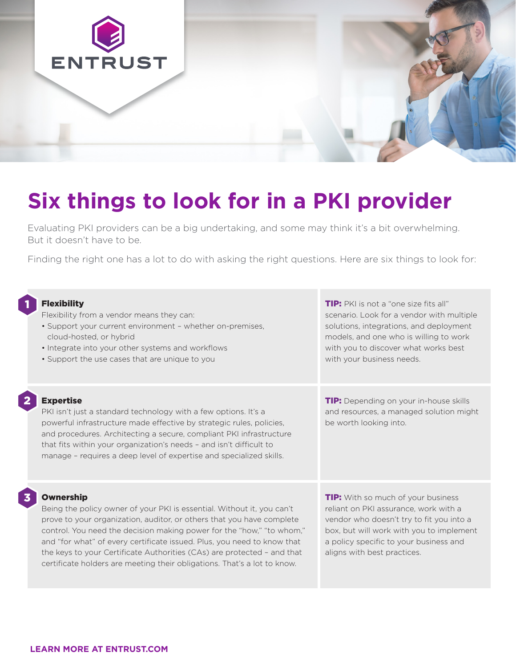

# **Six things to look for in a PKI provider**

Evaluating PKI providers can be a big undertaking, and some may think it's a bit overwhelming. But it doesn't have to be.

Finding the right one has a lot to do with asking the right questions. Here are six things to look for:

| ព<br><b>Flexibility</b><br>Flexibility from a vendor means they can:<br>· Support your current environment - whether on-premises,<br>cloud-hosted, or hybrid<br>• Integrate into your other systems and workflows<br>• Support the use cases that are unique to you                                                                                                                                                                                                                 | <b>TIP:</b> PKI is not a "one size fits all"<br>scenario. Look for a vendor with multiple<br>solutions, integrations, and deployment<br>models, and one who is willing to work<br>with you to discover what works best<br>with your business needs. |
|-------------------------------------------------------------------------------------------------------------------------------------------------------------------------------------------------------------------------------------------------------------------------------------------------------------------------------------------------------------------------------------------------------------------------------------------------------------------------------------|-----------------------------------------------------------------------------------------------------------------------------------------------------------------------------------------------------------------------------------------------------|
| $\overline{\mathbf{2}}$<br><b>Expertise</b><br>PKI isn't just a standard technology with a few options. It's a<br>powerful infrastructure made effective by strategic rules, policies,<br>and procedures. Architecting a secure, compliant PKI infrastructure<br>that fits within your organization's needs - and isn't difficult to<br>manage - requires a deep level of expertise and specialized skills.                                                                         | <b>TIP:</b> Depending on your in-house skills<br>and resources, a managed solution might<br>be worth looking into.                                                                                                                                  |
| 3<br><b>Ownership</b><br>Being the policy owner of your PKI is essential. Without it, you can't<br>prove to your organization, auditor, or others that you have complete<br>control. You need the decision making power for the "how," "to whom,"<br>and "for what" of every certificate issued. Plus, you need to know that<br>the keys to your Certificate Authorities (CAs) are protected - and that<br>certificate holders are meeting their obligations. That's a lot to know. | <b>TIP:</b> With so much of your business<br>reliant on PKI assurance, work with a<br>vendor who doesn't try to fit you into a<br>box, but will work with you to implement<br>a policy specific to your business and<br>aligns with best practices. |